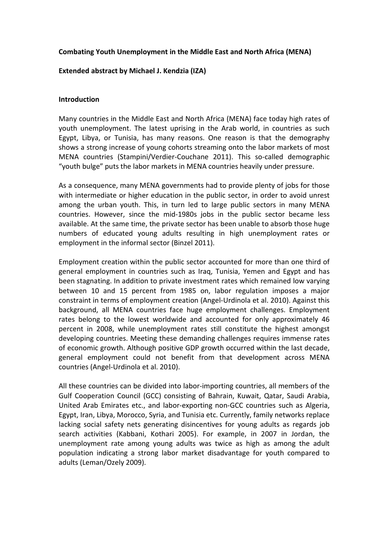## **Combating Youth Unemployment in the Middle East and North Africa (MENA)**

### **Extended abstract by Michael J. Kendzia (IZA)**

#### **Introduction**

Many countries in the Middle East and North Africa (MENA) face today high rates of youth unemployment. The latest uprising in the Arab world, in countries as such Egypt, Libya, or Tunisia, has many reasons. One reason is that the demography shows a strong increase of young cohorts streaming onto the labor markets of most MENA countries (Stampini/Verdier-Couchane 2011). This so-called demographic "youth bulge" puts the labor markets in MENA countries heavily under pressure.

As a consequence, many MENA governments had to provide plenty of jobs for those with intermediate or higher education in the public sector, in order to avoid unrest among the urban youth. This, in turn led to large public sectors in many MENA countries. However, since the mid-1980s jobs in the public sector became less available. At the same time, the private sector has been unable to absorb those huge numbers of educated young adults resulting in high unemployment rates or employment in the informal sector (Binzel 2011).

Employment creation within the public sector accounted for more than one third of general employment in countries such as Iraq, Tunisia, Yemen and Egypt and has been stagnating. In addition to private investment rates which remained low varying between 10 and 15 percent from 1985 on, labor regulation imposes a major constraint in terms of employment creation (Angel-Urdinola et al. 2010). Against this background, all MENA countries face huge employment challenges. Employment rates belong to the lowest worldwide and accounted for only approximately 46 percent in 2008, while unemployment rates still constitute the highest amongst developing countries. Meeting these demanding challenges requires immense rates of economic growth. Although positive GDP growth occurred within the last decade, general employment could not benefit from that development across MENA countries (Angel-Urdinola et al. 2010).

All these countries can be divided into labor-importing countries, all members of the Gulf Cooperation Council (GCC) consisting of Bahrain, Kuwait, Qatar, Saudi Arabia, United Arab Emirates etc., and labor-exporting non-GCC countries such as Algeria, Egypt, Iran, Libya, Morocco, Syria, and Tunisia etc. Currently, family networks replace lacking social safety nets generating disincentives for young adults as regards job search activities (Kabbani, Kothari 2005). For example, in 2007 in Jordan, the unemployment rate among young adults was twice as high as among the adult population indicating a strong labor market disadvantage for youth compared to adults (Leman/Ozely 2009).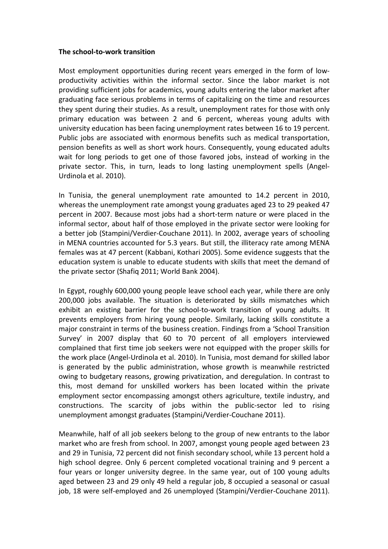#### **The school-to-work transition**

Most employment opportunities during recent years emerged in the form of lowproductivity activities within the informal sector. Since the labor market is not providing sufficient jobs for academics, young adults entering the labor market after graduating face serious problems in terms of capitalizing on the time and resources they spent during their studies. As a result, unemployment rates for those with only primary education was between 2 and 6 percent, whereas young adults with university education has been facing unemployment rates between 16 to 19 percent. Public jobs are associated with enormous benefits such as medical transportation, pension benefits as well as short work hours. Consequently, young educated adults wait for long periods to get one of those favored jobs, instead of working in the private sector. This, in turn, leads to long lasting unemployment spells (Angel-Urdinola et al. 2010).

In Tunisia, the general unemployment rate amounted to 14.2 percent in 2010, whereas the unemployment rate amongst young graduates aged 23 to 29 peaked 47 percent in 2007. Because most jobs had a short-term nature or were placed in the informal sector, about half of those employed in the private sector were looking for a better job (Stampini/Verdier-Couchane 2011). In 2002, average years of schooling in MENA countries accounted for 5.3 years. But still, the illiteracy rate among MENA females was at 47 percent (Kabbani, Kothari 2005). Some evidence suggests that the education system is unable to educate students with skills that meet the demand of the private sector (Shafiq 2011; World Bank 2004).

In Egypt, roughly 600,000 young people leave school each year, while there are only 200,000 jobs available. The situation is deteriorated by skills mismatches which exhibit an existing barrier for the school-to-work transition of young adults. It prevents employers from hiring young people. Similarly, lacking skills constitute a major constraint in terms of the business creation. Findings from a 'School Transition Survey' in 2007 display that 60 to 70 percent of all employers interviewed complained that first time job seekers were not equipped with the proper skills for the work place (Angel-Urdinola et al. 2010). In Tunisia, most demand for skilled labor is generated by the public administration, whose growth is meanwhile restricted owing to budgetary reasons, growing privatization, and deregulation. In contrast to this, most demand for unskilled workers has been located within the private employment sector encompassing amongst others agriculture, textile industry, and constructions. The scarcity of jobs within the public-sector led to rising unemployment amongst graduates (Stampini/Verdier-Couchane 2011).

Meanwhile, half of all job seekers belong to the group of new entrants to the labor market who are fresh from school. In 2007, amongst young people aged between 23 and 29 in Tunisia, 72 percent did not finish secondary school, while 13 percent hold a high school degree. Only 6 percent completed vocational training and 9 percent a four years or longer university degree. In the same year, out of 100 young adults aged between 23 and 29 only 49 held a regular job, 8 occupied a seasonal or casual job, 18 were self-employed and 26 unemployed (Stampini/Verdier-Couchane 2011).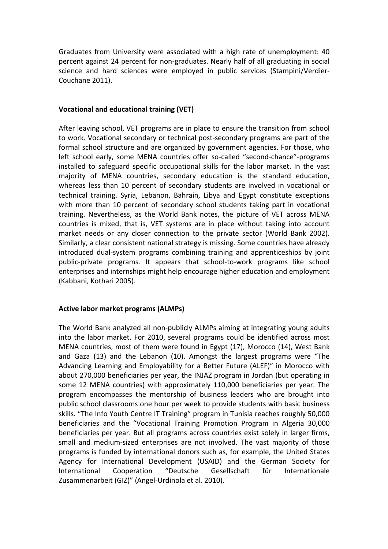Graduates from University were associated with a high rate of unemployment: 40 percent against 24 percent for non-graduates. Nearly half of all graduating in social science and hard sciences were employed in public services (Stampini/Verdier-Couchane 2011).

#### **Vocational and educational training (VET)**

After leaving school, VET programs are in place to ensure the transition from school to work. Vocational secondary or technical post-secondary programs are part of the formal school structure and are organized by government agencies. For those, who left school early, some MENA countries offer so-called "second-chance"-programs installed to safeguard specific occupational skills for the labor market. In the vast majority of MENA countries, secondary education is the standard education, whereas less than 10 percent of secondary students are involved in vocational or technical training. Syria, Lebanon, Bahrain, Libya and Egypt constitute exceptions with more than 10 percent of secondary school students taking part in vocational training. Nevertheless, as the World Bank notes, the picture of VET across MENA countries is mixed, that is, VET systems are in place without taking into account market needs or any closer connection to the private sector (World Bank 2002). Similarly, a clear consistent national strategy is missing. Some countries have already introduced dual-system programs combining training and apprenticeships by joint public-private programs. It appears that school-to-work programs like school enterprises and internships might help encourage higher education and employment (Kabbani, Kothari 2005).

# **Active labor market programs (ALMPs)**

The World Bank analyzed all non-publicly ALMPs aiming at integrating young adults into the labor market. For 2010, several programs could be identified across most MENA countries, most of them were found in Egypt (17), Morocco (14), West Bank and Gaza (13) and the Lebanon (10). Amongst the largest programs were "The Advancing Learning and Employability for a Better Future (ALEF)" in Morocco with about 270,000 beneficiaries per year, the INJAZ program in Jordan (but operating in some 12 MENA countries) with approximately 110,000 beneficiaries per year. The program encompasses the mentorship of business leaders who are brought into public school classrooms one hour per week to provide students with basic business skills. "The Info Youth Centre IT Training" program in Tunisia reaches roughly 50,000 beneficiaries and the "Vocational Training Promotion Program in Algeria 30,000 beneficiaries per year. But all programs across countries exist solely in larger firms, small and medium-sized enterprises are not involved. The vast majority of those programs is funded by international donors such as, for example, the United States Agency for International Development (USAID) and the German Society for International Cooperation "Deutsche Gesellschaft für Internationale Zusammenarbeit (GIZ)" (Angel-Urdinola et al. 2010).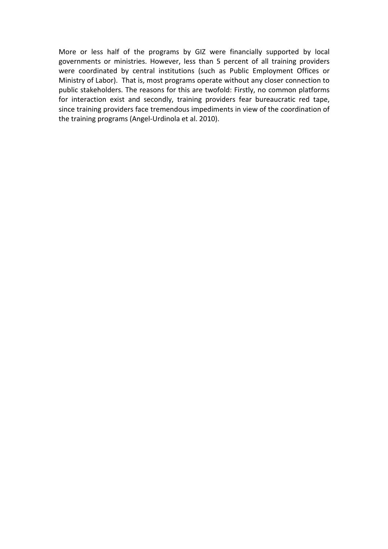More or less half of the programs by GIZ were financially supported by local governments or ministries. However, less than 5 percent of all training providers were coordinated by central institutions (such as Public Employment Offices or Ministry of Labor). That is, most programs operate without any closer connection to public stakeholders. The reasons for this are twofold: Firstly, no common platforms for interaction exist and secondly, training providers fear bureaucratic red tape, since training providers face tremendous impediments in view of the coordination of the training programs (Angel-Urdinola et al. 2010).